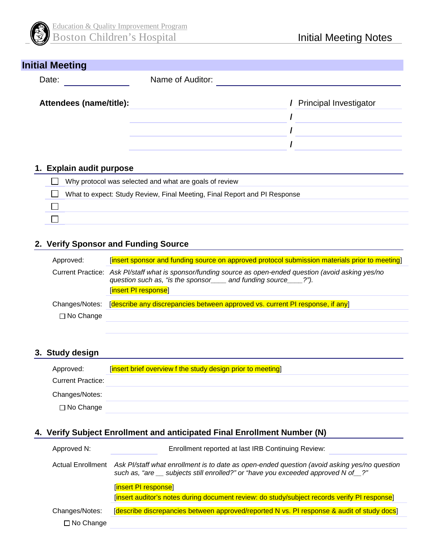

| <b>Initial Meeting</b>  |                  |                          |
|-------------------------|------------------|--------------------------|
| Date:                   | Name of Auditor: |                          |
| Attendees (name/title): |                  | / Principal Investigator |
|                         |                  |                          |
|                         |                  |                          |
|                         |                  |                          |
|                         |                  |                          |

## **1. Explain audit purpose**

| Why protocol was selected and what are goals of review                    |
|---------------------------------------------------------------------------|
| What to expect: Study Review, Final Meeting, Final Report and PI Response |
|                                                                           |
|                                                                           |

## **2. Verify Sponsor and Funding Source**

| Approved:        | [insert sponsor and funding source on approved protocol submission materials prior to meeting]                                                                                                       |
|------------------|------------------------------------------------------------------------------------------------------------------------------------------------------------------------------------------------------|
|                  | Current Practice: Ask Pl/staff what is sponsor/funding source as open-ended question (avoid asking yes/no<br>question such as, "is the sponsor____ and funding source___?").<br>[insert PI response] |
| Changes/Notes:   | [describe any discrepancies between approved vs. current PI response, if any]                                                                                                                        |
| $\Box$ No Change |                                                                                                                                                                                                      |

## **3. Study design**

| Approved:                | [insert brief overview f the study design prior to meeting] |
|--------------------------|-------------------------------------------------------------|
| <b>Current Practice:</b> |                                                             |
| Changes/Notes:           |                                                             |
| $\Box$ No Change         |                                                             |

## **4. Verify Subject Enrollment and anticipated Final Enrollment Number (N)**

| Approved N:                        | Enrollment reported at last IRB Continuing Review:                                                                                                                                  |
|------------------------------------|-------------------------------------------------------------------------------------------------------------------------------------------------------------------------------------|
| Actual Enrollment                  | Ask Pl/staff what enrollment is to date as open-ended question (avoid asking yes/no question<br>such as, "are __ subjects still enrolled?" or "have you exceeded approved N of __?" |
|                                    | [insert PI response]<br>[insert auditor's notes during document review: do study/subject records verify PI response]                                                                |
| Changes/Notes:<br>$\Box$ No Change | [describe discrepancies between approved/reported N vs. PI response & audit of study docs]                                                                                          |
|                                    |                                                                                                                                                                                     |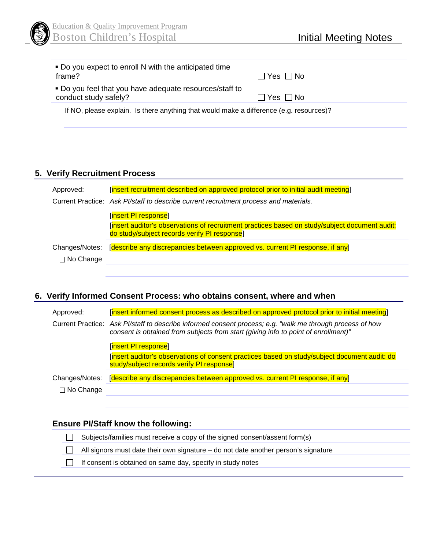

| • Do you expect to enroll N with the anticipated time<br>frame?                         | ∣Yes I INo               |
|-----------------------------------------------------------------------------------------|--------------------------|
| • Do you feel that you have adequate resources/staff to<br>conduct study safely?        | $\sqcap$ Yes $\sqcap$ No |
| If NO, please explain. Is there anything that would make a difference (e.g. resources)? |                          |
|                                                                                         |                          |

# **5. Verify Recruitment Process**

| Approved:        | [insert recruitment described on approved protocol prior to initial audit meeting]                                                             |
|------------------|------------------------------------------------------------------------------------------------------------------------------------------------|
|                  | Current Practice: Ask Pl/staff to describe current recruitment process and materials.                                                          |
|                  | [insert PI response]                                                                                                                           |
|                  | [insert auditor's observations of recruitment practices based on study/subject document audit:<br>do study/subject records verify PI response] |
| Changes/Notes:   | [describe any discrepancies between approved vs. current PI response, if any]                                                                  |
| $\Box$ No Change |                                                                                                                                                |
|                  |                                                                                                                                                |

## **6. Verify Informed Consent Process: who obtains consent, where and when**

| Approved:        | [insert informed consent process as described on approved protocol prior to initial meeting]                                                                                                    |
|------------------|-------------------------------------------------------------------------------------------------------------------------------------------------------------------------------------------------|
|                  | Current Practice: Ask Pl/staff to describe informed consent process; e.g. "walk me through process of how<br>consent is obtained from subjects from start (giving info to point of enrollment)" |
|                  | [insert PI response]                                                                                                                                                                            |
|                  | [insert auditor's observations of consent practices based on study/subject document audit: do<br>study/subject records verify PI response                                                       |
| Changes/Notes:   | [describe any discrepancies between approved vs. current PI response, if any]                                                                                                                   |
| $\Box$ No Change |                                                                                                                                                                                                 |

## **Ensure PI/Staff know the following:**

Subjects/families must receive a copy of the signed consent/assent form(s)  $\Box$ All signors must date their own signature – do not date another person's signature  $\Box$  $\Box$ If consent is obtained on same day, specify in study notes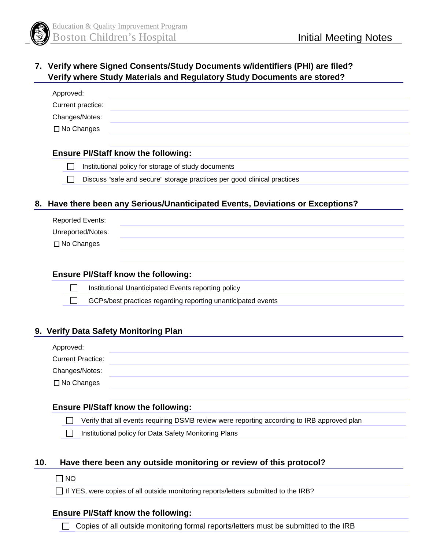

## **7. Verify where Signed Consents/Study Documents w/identifiers (PHI) are filed? Verify where Study Materials and Regulatory Study Documents are stored?**

## **Ensure PI/Staff know the following:**

 $\Box$ Institutional policy for storage of study documents

 $\Box$ Discuss "safe and secure" storage practices per good clinical practices

## **8. Have there been any Serious/Unanticipated Events, Deviations or Exceptions?**

| <b>Reported Events:</b> |  |  |
|-------------------------|--|--|
| Unreported/Notes:       |  |  |
| $\Box$ No Changes       |  |  |
|                         |  |  |

### **Ensure PI/Staff know the following:**

 $\Box$ Institutional Unanticipated Events reporting policy

 $\Box$ GCPs/best practices regarding reporting unanticipated events

## **9. Verify Data Safety Monitoring Plan**

| Approved:                |  |
|--------------------------|--|
| <b>Current Practice:</b> |  |
| Changes/Notes:           |  |
| $\Box$ No Changes        |  |

## **Ensure PI/Staff know the following:**

Verify that all events requiring DSMB review were reporting according to IRB approved plan  $\mathbb{R}^n$ 

 $\Box$ Institutional policy for Data Safety Monitoring Plans

## **10. Have there been any outside monitoring or review of this protocol?**

#### $\Box$  NO

 $\Box$  If YES, were copies of all outside monitoring reports/letters submitted to the IRB?

### **Ensure PI/Staff know the following:**

 $\Box$  Copies of all outside monitoring formal reports/letters must be submitted to the IRB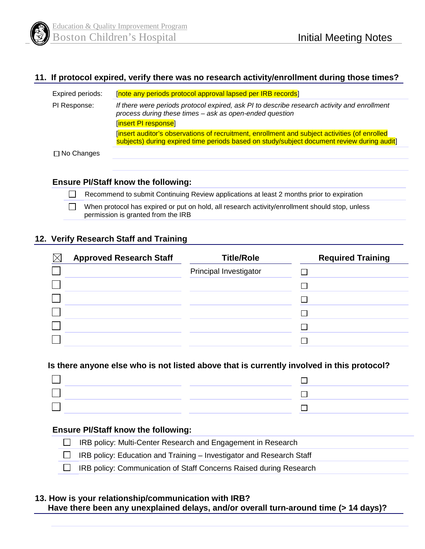

## **11. If protocol expired, verify there was no research activity/enrollment during those times?**

| Expired periods:  | [note any periods protocol approval lapsed per IRB records]                                                                                                                                |
|-------------------|--------------------------------------------------------------------------------------------------------------------------------------------------------------------------------------------|
| PI Response:      | If there were periods protocol expired, ask PI to describe research activity and enrollment<br>process during these times - ask as open-ended question<br>[insert PI response]             |
|                   | [insert auditor's observations of recruitment, enrollment and subject activities (of enrolled<br>subjects) during expired time periods based on study/subject document review during audit |
| $\Box$ No Changes |                                                                                                                                                                                            |

**Ensure PI/Staff know the following:**

Recommend to submit Continuing Review applications at least 2 months prior to expiration

 $\Box$ When protocol has expired or put on hold, all research activity/enrollment should stop, unless permission is granted from the IRB

## **12. Verify Research Staff and Training**

| <b>Approved Research Staff</b> | <b>Title/Role</b>      | <b>Required Training</b> |
|--------------------------------|------------------------|--------------------------|
|                                | Principal Investigator |                          |
|                                |                        |                          |
|                                |                        |                          |
|                                |                        |                          |
|                                |                        |                          |
|                                |                        |                          |

### **Is there anyone else who is not listed above that is currently involved in this protocol?**

### **Ensure PI/Staff know the following:**

| $\Box$ IRB policy: Multi-Center Research and Engagement in Research         |
|-----------------------------------------------------------------------------|
| $\Box$ IRB policy: Education and Training – Investigator and Research Staff |
| □ IRB policy: Communication of Staff Concerns Raised during Research        |

#### **13. How is your relationship/communication with IRB? Have there been any unexplained delays, and/or overall turn-around time (> 14 days)?**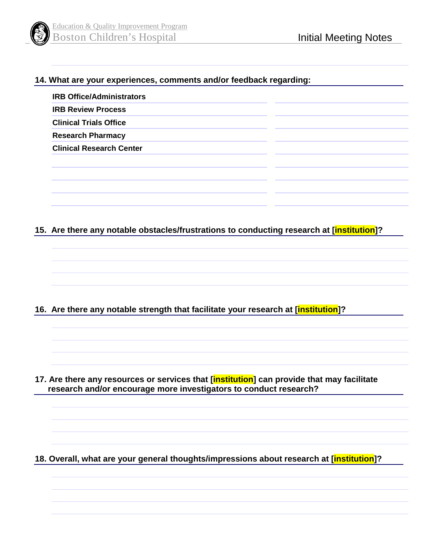

## **14. What are your experiences, comments and/or feedback regarding:**

| <b>IRB Office/Administrators</b> |  |
|----------------------------------|--|
| <b>IRB Review Process</b>        |  |
| <b>Clinical Trials Office</b>    |  |
| <b>Research Pharmacy</b>         |  |
| <b>Clinical Research Center</b>  |  |
|                                  |  |
|                                  |  |
|                                  |  |

## **15. Are there any notable obstacles/frustrations to conducting research at [institution]?**

**16. Are there any notable strength that facilitate your research at [institution]?** 

**17. Are there any resources or services that [institution] can provide that may facilitate research and/or encourage more investigators to conduct research?** 

**18. Overall, what are your general thoughts/impressions about research at [institution]?**